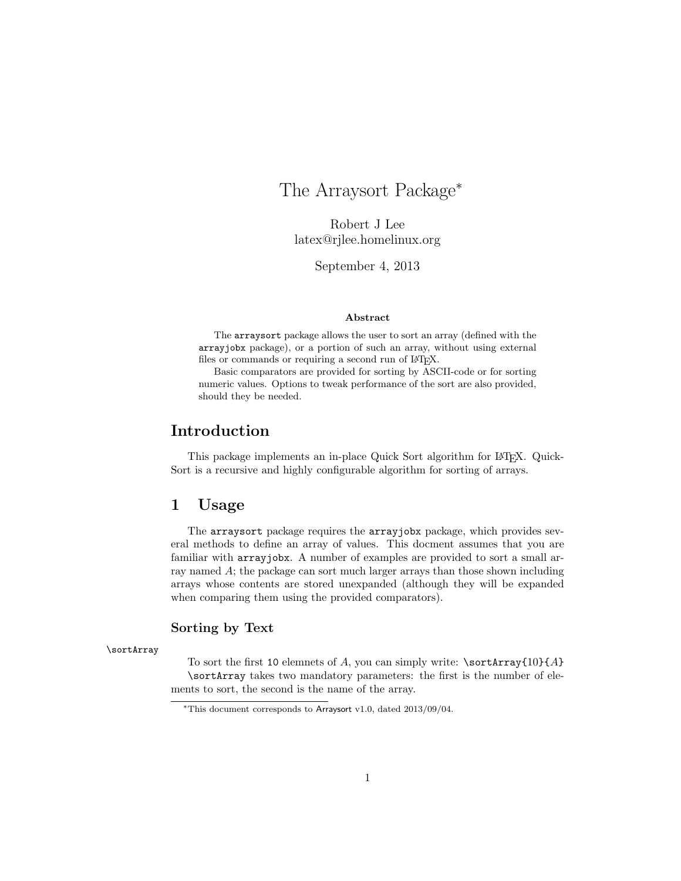## The Arraysort Package<sup>∗</sup>

Robert J Lee latex@rjlee.homelinux.org

September 4, 2013

#### Abstract

The arraysort package allows the user to sort an array (defined with the arrayjobx package), or a portion of such an array, without using external files or commands or requiring a second run of LAT<sub>E</sub>X.

Basic comparators are provided for sorting by ASCII-code or for sorting numeric values. Options to tweak performance of the sort are also provided, should they be needed.

### Introduction

This package implements an in-place Quick Sort algorithm for L<sup>AT</sup>FX. Quick-Sort is a recursive and highly configurable algorithm for sorting of arrays.

### 1 Usage

The arraysort package requires the arrayjobx package, which provides several methods to define an array of values. This docment assumes that you are familiar with arrayjobx. A number of examples are provided to sort a small array named A; the package can sort much larger arrays than those shown including arrays whose contents are stored unexpanded (although they will be expanded when comparing them using the provided comparators).

#### Sorting by Text

\sortArray

To sort the first 10 elemnets of A, you can simply write:  $\sqrt{\sqrt{10}}{A}$ \sortArray takes two mandatory parameters: the first is the number of elements to sort, the second is the name of the array.

<sup>∗</sup>This document corresponds to Arraysort v1.0, dated 2013/09/04.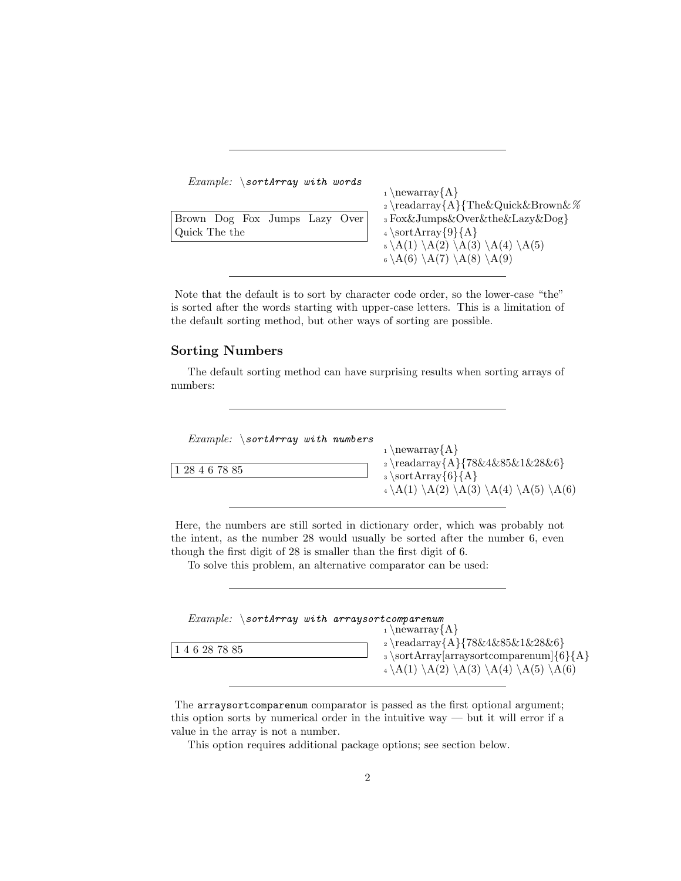| $Example: \ \sqrt{\text{sortArray with words}}$ |                                                                                      |
|-------------------------------------------------|--------------------------------------------------------------------------------------|
|                                                 | $_1 \newcommand{\fm}{\text{argf}}$                                                   |
|                                                 | $_2 \readarray{A}{The\&\Quick\&\Brown\&\%$                                           |
| Brown Dog Fox Jumps Lazy Over                   | 3 Fox&Jumps&Over&the&Lazy&Dog}                                                       |
| Quick The the                                   | $_4 \setminus \text{sortArray}\{9\} \{A\}$                                           |
|                                                 | $_5 \backslash A(1) \backslash A(2) \backslash A(3) \backslash A(4) \backslash A(5)$ |
|                                                 | $_6 \backslash A(6) \backslash A(7) \backslash A(8) \backslash A(9)$                 |
|                                                 |                                                                                      |

Note that the default is to sort by character code order, so the lower-case "the" is sorted after the words starting with upper-case letters. This is a limitation of the default sorting method, but other ways of sorting are possible.

### Sorting Numbers

The default sorting method can have surprising results when sorting arrays of numbers:

| <i>Example:</i> $\sqrt{\arctan y}$ <i>with numbers</i><br> 128467885 | $_1 \neq \{A\}$<br>$_2 \readarray{A}{78\&4\&85\&1\&28\&6}$<br>$\text{sortArray}\{6\}\{A\}$<br>$_4 \backslash A(1) \backslash A(2) \backslash A(3) \backslash A(4) \backslash A(5) \backslash A(6)$ |
|----------------------------------------------------------------------|----------------------------------------------------------------------------------------------------------------------------------------------------------------------------------------------------|
|                                                                      |                                                                                                                                                                                                    |

Here, the numbers are still sorted in dictionary order, which was probably not the intent, as the number 28 would usually be sorted after the number 6, even though the first digit of 28 is smaller than the first digit of 6.

To solve this problem, an alternative comparator can be used:

| $Example: \simeq$ sortArray with arraysortcomparenum |                                                                                                                                                                                                                                   |
|------------------------------------------------------|-----------------------------------------------------------------------------------------------------------------------------------------------------------------------------------------------------------------------------------|
| 146287885                                            | $_1 \neq \{A\}$<br>$_2 \readarray{A}{78\&4\&85\&1\&28\&6}$<br>$\text{array}$ \sortArray arraysortcomparenum $\{6\}$ { A }<br>$_4 \backslash A(1) \backslash A(2) \backslash A(3) \backslash A(4) \backslash A(5) \backslash A(6)$ |

The arraysortcomparenum comparator is passed as the first optional argument; this option sorts by numerical order in the intuitive way — but it will error if a value in the array is not a number.

This option requires additional package options; see section below.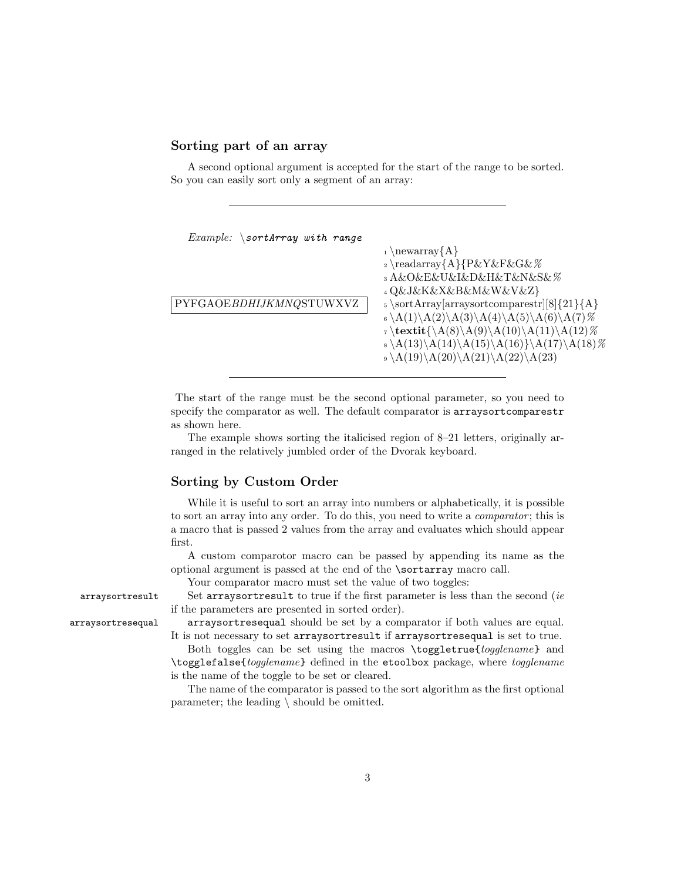### Sorting part of an array

A second optional argument is accepted for the start of the range to be sorted. So you can easily sort only a segment of an array:

| <i>Example:</i> $\sqrt{\arctan y}$ with range |                                                                                                                                                                                                                                                    |
|-----------------------------------------------|----------------------------------------------------------------------------------------------------------------------------------------------------------------------------------------------------------------------------------------------------|
|                                               | $_1 \neq \{A\}$<br>$_2 \readarray{A}{P&Y&F&G&\%$<br>3 A&O&E&U&I&D&H&T&N&S&%<br>4 Q&J&K&X&B&M&W&V&Z}                                                                                                                                                |
| PYFGAOEBDHIJKMNQSTUWXVZ                       | $5 \setminus sortArray[arraysortcomparestr][8]{21}{A}$<br>$_6 \A(1) \A(2) \A(3) \A(4) \A(5) \A(6) \A(7)$ %<br>$\tau \text{K}(A(8) \A(9) \A(10) \A(11) \A(12)$ %<br>s \A(13)\A(14)\A(15)\A(16)}\A(17)\A(18)%<br>$_9 \A(19)\A(20)\A(21)\A(22)\A(23)$ |

The start of the range must be the second optional parameter, so you need to specify the comparator as well. The default comparator is arraysortcomparestr as shown here.

The example shows sorting the italicised region of 8–21 letters, originally arranged in the relatively jumbled order of the Dvorak keyboard.

#### Sorting by Custom Order

While it is useful to sort an array into numbers or alphabetically, it is possible to sort an array into any order. To do this, you need to write a *comparator*; this is a macro that is passed 2 values from the array and evaluates which should appear first.

A custom comparotor macro can be passed by appending its name as the optional argument is passed at the end of the \sortarray macro call.

Your comparator macro must set the value of two toggles:

arraysortresult Set arraysortresult to true if the first parameter is less than the second (ie if the parameters are presented in sorted order).

arraysortresequal arraysortresequal should be set by a comparator if both values are equal. It is not necessary to set arraysortresult if arraysortresequal is set to true.

> Both toggles can be set using the macros \toggletrue{togglename} and \togglefalse{togglename} defined in the etoolbox package, where togglename is the name of the toggle to be set or cleared.

> The name of the comparator is passed to the sort algorithm as the first optional parameter; the leading \ should be omitted.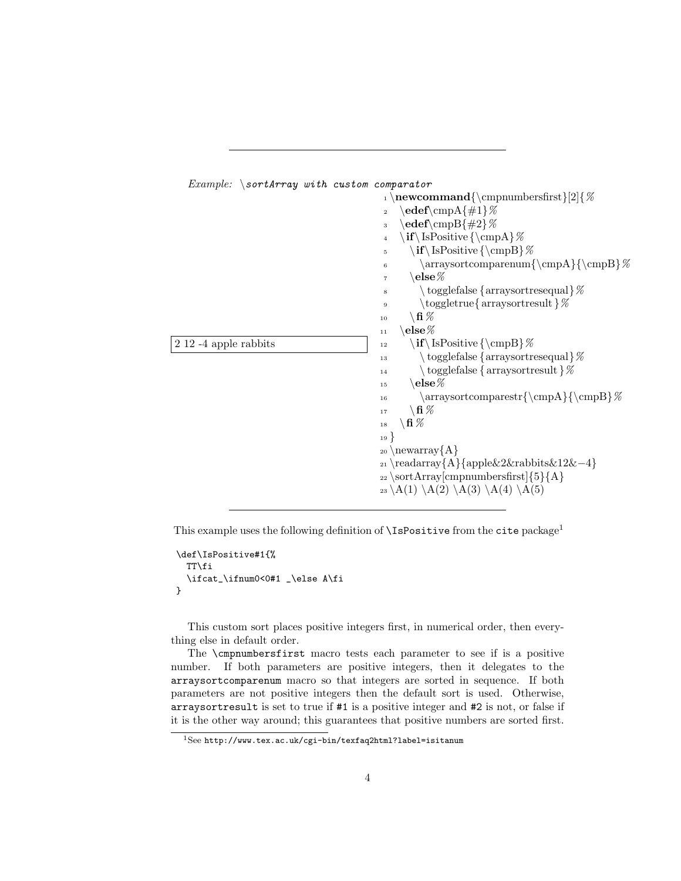

This example uses the following definition of  $\IsPositive$  from the cite package<sup>1</sup>

```
\def\IsPositive#1{%
  TT\fi
  \ifcat_\ifnum0<0#1 _\else A\fi
}
```
This custom sort places positive integers first, in numerical order, then everything else in default order.

The \cmpnumbersfirst macro tests each parameter to see if is a positive number. If both parameters are positive integers, then it delegates to the arraysortcomparenum macro so that integers are sorted in sequence. If both parameters are not positive integers then the default sort is used. Otherwise, arraysortresult is set to true if #1 is a positive integer and #2 is not, or false if it is the other way around; this guarantees that positive numbers are sorted first.

See http://www.tex.ac.uk/cgi-bin/texfaq2html?label=isitanum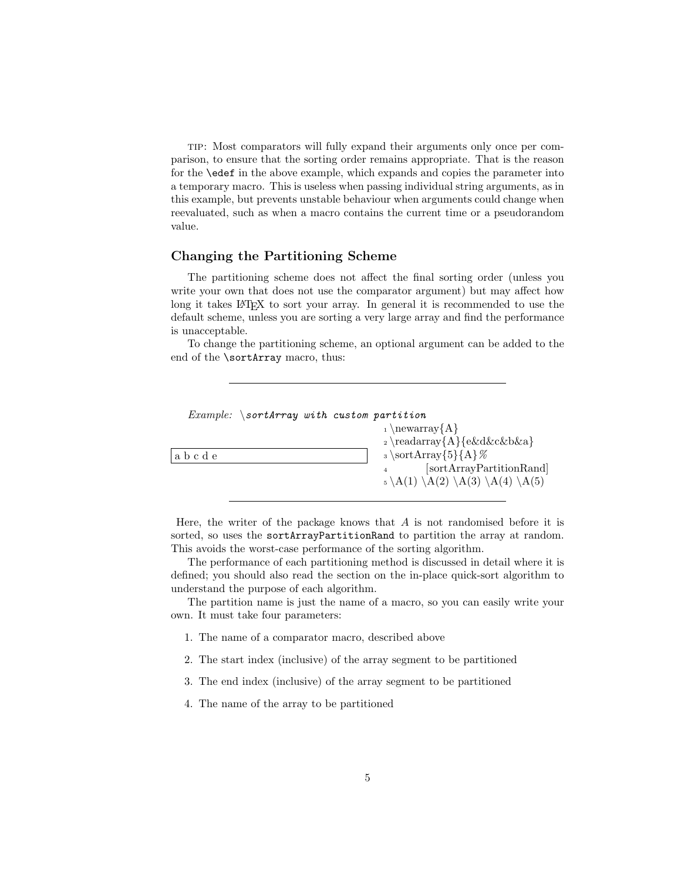tip: Most comparators will fully expand their arguments only once per comparison, to ensure that the sorting order remains appropriate. That is the reason for the \edef in the above example, which expands and copies the parameter into a temporary macro. This is useless when passing individual string arguments, as in this example, but prevents unstable behaviour when arguments could change when reevaluated, such as when a macro contains the current time or a pseudorandom value.

### Changing the Partitioning Scheme

The partitioning scheme does not affect the final sorting order (unless you write your own that does not use the comparator argument) but may affect how long it takes LAT<sub>EX</sub> to sort your array. In general it is recommended to use the default scheme, unless you are sorting a very large array and find the performance is unacceptable.

To change the partitioning scheme, an optional argument can be added to the end of the \sortArray macro, thus:



Here, the writer of the package knows that  $A$  is not randomised before it is sorted, so uses the sortArrayPartitionRand to partition the array at random. This avoids the worst-case performance of the sorting algorithm.

The performance of each partitioning method is discussed in detail where it is defined; you should also read the section on the in-place quick-sort algorithm to understand the purpose of each algorithm.

The partition name is just the name of a macro, so you can easily write your own. It must take four parameters:

- 1. The name of a comparator macro, described above
- 2. The start index (inclusive) of the array segment to be partitioned
- 3. The end index (inclusive) of the array segment to be partitioned
- 4. The name of the array to be partitioned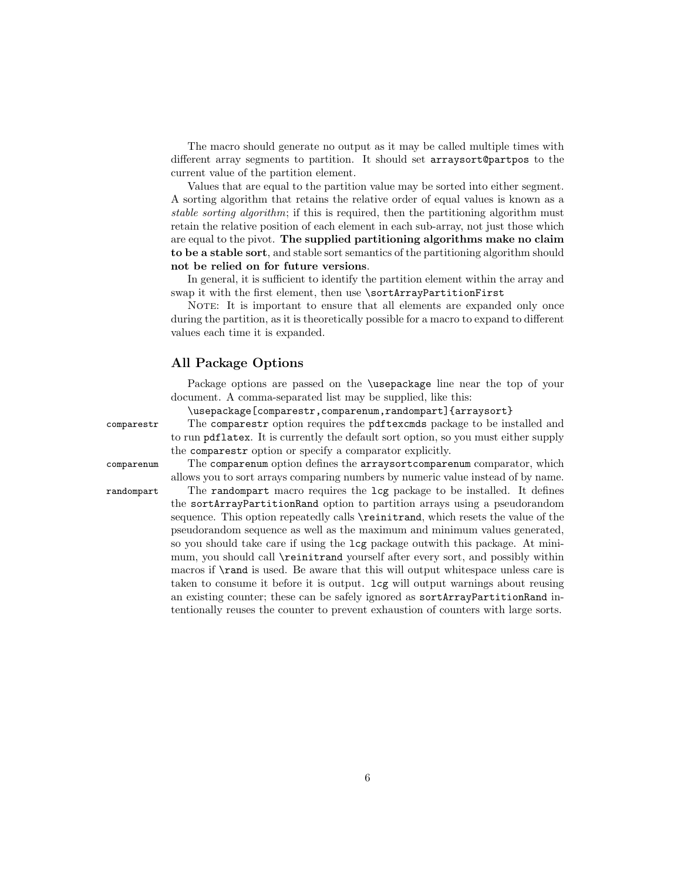The macro should generate no output as it may be called multiple times with different array segments to partition. It should set arraysort@partpos to the current value of the partition element.

Values that are equal to the partition value may be sorted into either segment. A sorting algorithm that retains the relative order of equal values is known as a stable sorting algorithm; if this is required, then the partitioning algorithm must retain the relative position of each element in each sub-array, not just those which are equal to the pivot. The supplied partitioning algorithms make no claim to be a stable sort, and stable sort semantics of the partitioning algorithm should not be relied on for future versions.

In general, it is sufficient to identify the partition element within the array and swap it with the first element, then use \sortArrayPartitionFirst

NOTE: It is important to ensure that all elements are expanded only once during the partition, as it is theoretically possible for a macro to expand to different values each time it is expanded.

### All Package Options

Package options are passed on the \usepackage line near the top of your document. A comma-separated list may be supplied, like this:

\usepackage[comparestr,comparenum,randompart]{arraysort}

comparestr The comparestr option requires the pdftexcmds package to be installed and to run pdflatex. It is currently the default sort option, so you must either supply the comparestr option or specify a comparator explicitly.

comparenum The comparenum option defines the arraysortcomparenum comparator, which allows you to sort arrays comparing numbers by numeric value instead of by name.

randompart The randompart macro requires the lcg package to be installed. It defines the sortArrayPartitionRand option to partition arrays using a pseudorandom sequence. This option repeatedly calls  $\ref{eq:rel}$ , which resets the value of the pseudorandom sequence as well as the maximum and minimum values generated, so you should take care if using the lcg package outwith this package. At minimum, you should call \reinitrand yourself after every sort, and possibly within macros if  $\rm\lambda$  is used. Be aware that this will output whitespace unless care is taken to consume it before it is output. lcg will output warnings about reusing an existing counter; these can be safely ignored as sortArrayPartitionRand intentionally reuses the counter to prevent exhaustion of counters with large sorts.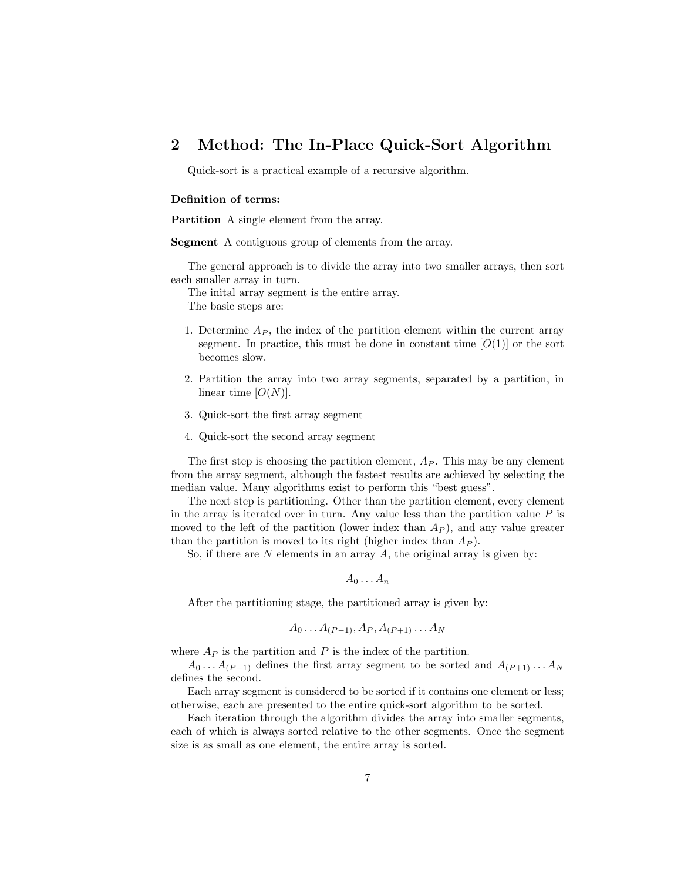### 2 Method: The In-Place Quick-Sort Algorithm

Quick-sort is a practical example of a recursive algorithm.

#### Definition of terms:

Partition A single element from the array.

Segment A contiguous group of elements from the array.

The general approach is to divide the array into two smaller arrays, then sort each smaller array in turn.

The inital array segment is the entire array. The basic steps are:

- 1. Determine  $A_P$ , the index of the partition element within the current array segment. In practice, this must be done in constant time  $[O(1)]$  or the sort becomes slow.
- 2. Partition the array into two array segments, separated by a partition, in linear time  $[O(N)]$ .
- 3. Quick-sort the first array segment
- 4. Quick-sort the second array segment

The first step is choosing the partition element,  $A_P$ . This may be any element from the array segment, although the fastest results are achieved by selecting the median value. Many algorithms exist to perform this "best guess".

The next step is partitioning. Other than the partition element, every element in the array is iterated over in turn. Any value less than the partition value  $P$  is moved to the left of the partition (lower index than  $A_P$ ), and any value greater than the partition is moved to its right (higher index than  $A_P$ ).

So, if there are  $N$  elements in an array  $A$ , the original array is given by:

 $A_0 \ldots A_n$ 

After the partitioning stage, the partitioned array is given by:

$$
A_0 \ldots A_{(P-1)}, A_P, A_{(P+1)} \ldots A_N
$$

where  $A_P$  is the partition and P is the index of the partition.

 $A_0 \ldots A_{(P-1)}$  defines the first array segment to be sorted and  $A_{(P+1)} \ldots A_N$ defines the second.

Each array segment is considered to be sorted if it contains one element or less; otherwise, each are presented to the entire quick-sort algorithm to be sorted.

Each iteration through the algorithm divides the array into smaller segments, each of which is always sorted relative to the other segments. Once the segment size is as small as one element, the entire array is sorted.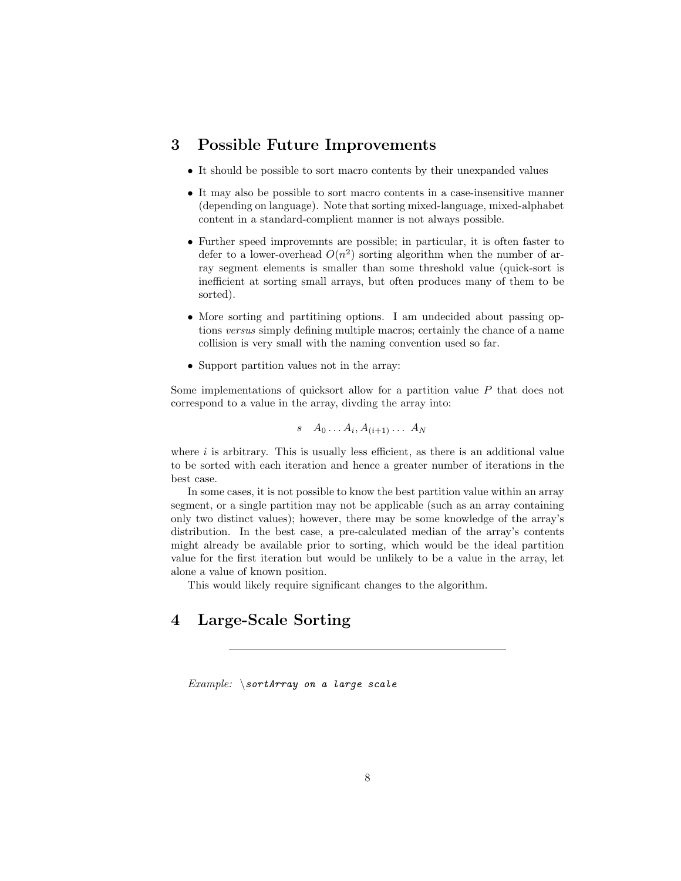### 3 Possible Future Improvements

- It should be possible to sort macro contents by their unexpanded values
- It may also be possible to sort macro contents in a case-insensitive manner (depending on language). Note that sorting mixed-language, mixed-alphabet content in a standard-complient manner is not always possible.
- Further speed improvemnts are possible; in particular, it is often faster to defer to a lower-overhead  $O(n^2)$  sorting algorithm when the number of array segment elements is smaller than some threshold value (quick-sort is inefficient at sorting small arrays, but often produces many of them to be sorted).
- More sorting and partitining options. I am undecided about passing options versus simply defining multiple macros; certainly the chance of a name collision is very small with the naming convention used so far.
- Support partition values not in the array:

Some implementations of quicksort allow for a partition value P that does not correspond to a value in the array, divding the array into:

$$
s \quad A_0 \ldots A_i, A_{(i+1)} \ldots A_N
$$

where  $i$  is arbitrary. This is usually less efficient, as there is an additional value to be sorted with each iteration and hence a greater number of iterations in the best case.

In some cases, it is not possible to know the best partition value within an array segment, or a single partition may not be applicable (such as an array containing only two distinct values); however, there may be some knowledge of the array's distribution. In the best case, a pre-calculated median of the array's contents might already be available prior to sorting, which would be the ideal partition value for the first iteration but would be unlikely to be a value in the array, let alone a value of known position.

This would likely require significant changes to the algorithm.

### 4 Large-Scale Sorting

 $Example: \simeq$  SortArray on a large scale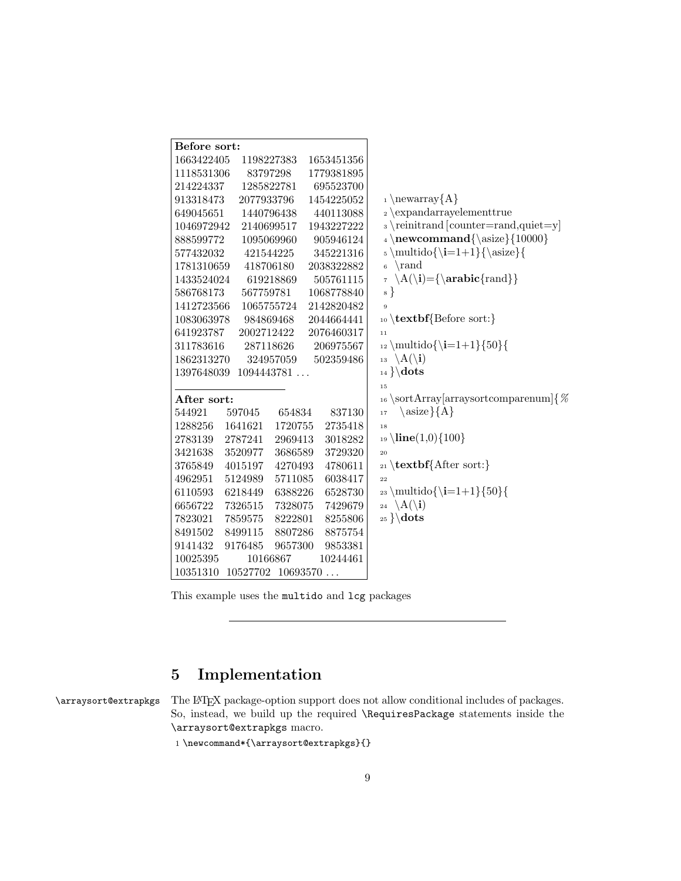| Before sort: |                   |         |            |                                               |
|--------------|-------------------|---------|------------|-----------------------------------------------|
| 1663422405   | 1198227383        |         | 1653451356 |                                               |
| 1118531306   | 83797298          |         | 1779381895 |                                               |
| 214224337    | 1285822781        |         | 695523700  |                                               |
| 913318473    | 2077933796        |         | 1454225052 | $_1 \neq \{A\}$                               |
| 649045651    | 1440796438        |         | 440113088  | $_2 \exp and array element true$              |
| 1046972942   | 2140699517        |         | 1943227222 | s \reinitrand [counter=rand,quiet=y]          |
| 888599772    | 1095069960        |         | 905946124  | $_4 \neq \emptyset$ {\asize}{10000}           |
| 577432032    | 421544225         |         | 345221316  | $\text{t=1+1}\{\text{size}\}$                 |
| 1781310659   | 418706180         |         | 2038322882 | \rand<br>$\overline{6}$                       |
| 1433524024   | 619218869         |         | 505761115  | $\A(\i) = {\\arabic{rand}}$<br>$\overline{7}$ |
| 586768173    | 567759781         |         | 1068778840 | $\{8\}$                                       |
| 1412723566   | 1065755724        |         | 2142820482 | $\overline{9}$                                |
| 1083063978   | 984869468         |         | 2044664441 | 10 \textbf{Before sort:}                      |
| 641923787    | 2002712422        |         | 2076460317 | 11                                            |
| 311783616    | 287118626         |         | 206975567  | $_{12} \mathbf{ol} {\i=1+1}{50}$              |
| 1862313270   | 324957059         |         | 502359486  | 13 \A(\i)                                     |
| 1397648039   | 1094443781        |         |            | $_{14} \} \dots$                              |
|              |                   |         |            | 15                                            |
| After sort:  |                   |         |            | 16 \sortArray[arraysortcomparenum]{ $\%$      |
| 544921       | 597045            | 654834  | 837130     | $\langle \text{asize} \} \{A\}$<br>17         |
| 1288256      | 1641621           | 1720755 | 2735418    | 18                                            |
| 2783139      | 2787241           | 2969413 | 3018282    | $_{19}$ \line(1,0){100}                       |
| 3421638      | 3520977           | 3686589 | 3729320    | 20                                            |
| 3765849      | 4015197           | 4270493 | 4780611    | $_{21}$ \textbf{After sort:}                  |
| 4962951      | 5124989           | 5711085 | 6038417    | 22                                            |
| 6110593      | 6218449           | 6388226 | 6528730    | $_{23} \mathbf{\i=1+1}{50}$                   |
| 6656722      | 7326515           | 7328075 | 7429679    | 24 \A(\i)                                     |
| 7823021      | 7859575           | 8222801 | 8255806    | $_{25} \backslash dots$                       |
| 8491502      | 8499115           | 8807286 | 8875754    |                                               |
| 9141432      | 9176485           | 9657300 | 9853381    |                                               |
| 10025395     | 10166867          |         | 10244461   |                                               |
| 10351310     | 10527702 10693570 |         |            |                                               |

This example uses the multido and lcg packages

# 5 Implementation

\arraysort@extrapkgs The LATEX package-option support does not allow conditional includes of packages. So, instead, we build up the required \RequiresPackage statements inside the \arraysort@extrapkgs macro.

1 \newcommand\*{\arraysort@extrapkgs}{}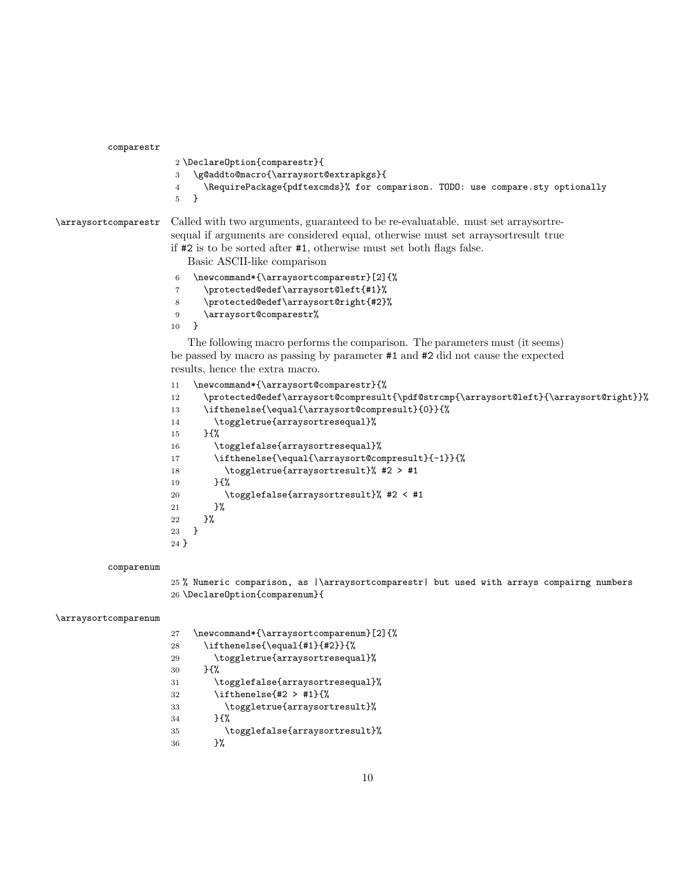comparestr

```
2 \DeclareOption{comparestr}{
3 \g@addto@macro{\arraysort@extrapkgs}{
4 \RequirePackage{pdftexcmds}% for comparison. TODO: use compare.sty optionally
5 }
```
\arraysortcomparestr Called with two arguments, guaranteed to be re-evaluatable. must set arraysortresequal if arguments are considered equal, otherwise must set arraysortresult true if #2 is to be sorted after #1, otherwise must set both flags false.

Basic ASCII-like comparison

```
6 \newcommand*{\arraysortcomparestr}[2]{%
```
\protected@edef\arraysort@left{#1}%

- \protected@edef\arraysort@right{#2}%
- \arraysort@comparestr%
- }

The following macro performs the comparison. The parameters must (it seems) be passed by macro as passing by parameter #1 and #2 did not cause the expected results, hence the extra macro.

```
11 \newcommand*{\arraysort@comparestr}{%
12 \qquad \texttt{@rd} \texttt{compresult} \texttt{hargsort@left} \texttt{drargsort@right} \texttt{hargsort@right} \texttt{hargsort@right} \texttt{hargsort@right} \texttt{hargsort@right} \texttt{hargsort@right} \texttt{hargsort@right} \texttt{hargsort@right} \texttt{hargsort@right} \texttt{hargsort@right} \texttt{hargsort@right} \texttt{hargsort@right} \texttt{hargsort@right} \texttt{hargtop} \texttt{hargtop} \texttt{hargtop} \texttt{hargtop} \texttt{hargtop} \texttt{hargtop} \texttt{hargtop} \texttt{h13 \ifthenelse{\equal{\arraysort@compresult}{0}}{%
14 \toggletrue{arraysortresequal}%
15 }{%
16 \togglefalse{arraysortresequal}%
17 \ifthenelse{\equal{\arraysort@compresult}{-1}}{%
18 \toggletrue{arraysortresult}% #2 > #1
19 }{%
20 \togglefalse{arraysortresult}% #2 < #1
21 }%
22 }%
23 }
24 }
```
#### comparenum

 % Numeric comparison, as |\arraysortcomparestr| but used with arrays compairng numbers \DeclareOption{comparenum}{

#### \arraysortcomparenum

| 27 | \newcommand*{\arraysortcomparenum}[2]{% |
|----|-----------------------------------------|
| 28 | \ifthenelse{\equal{#1}{#2}}{%           |
| 29 | \toggletrue{arraysortresequal}%         |
| 30 | ን የአ                                    |
| 31 | \togglefalse{arraysortresequal}%        |
| 32 | \ifthenelse{#2 > #1}{%                  |
| 33 | \toggletrue{arraysortresult}%           |
| 34 | ን የአ                                    |
| 35 | \togglefalse{arraysortresult}%          |
| 36 | ን%                                      |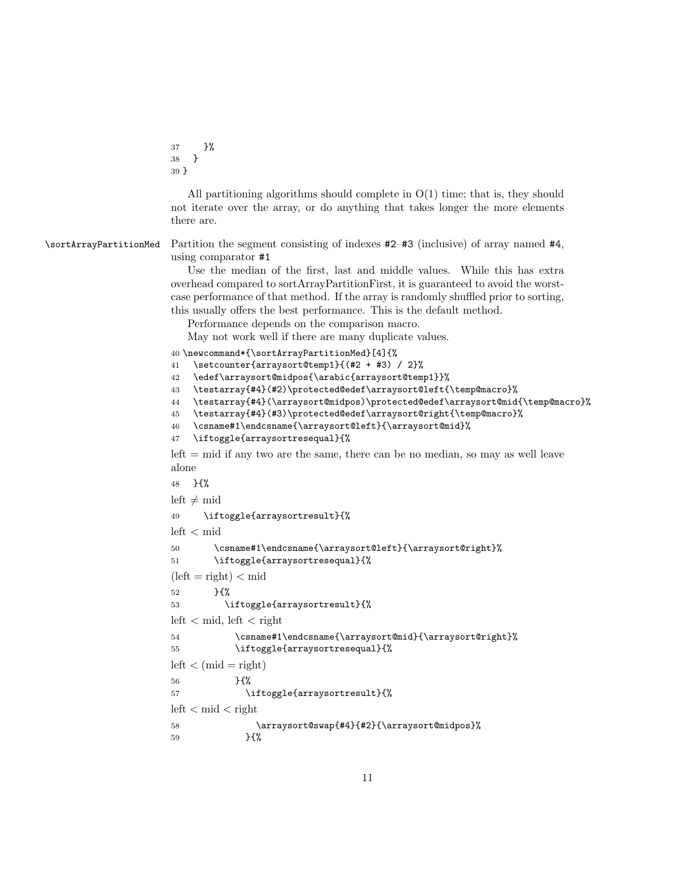37 }% 38 } 39 }

All partitioning algorithms should complete in  $O(1)$  time; that is, they should not iterate over the array, or do anything that takes longer the more elements there are.

\sortArrayPartitionMed Partition the segment consisting of indexes #2–#3 (inclusive) of array named #4, using comparator #1

> Use the median of the first, last and middle values. While this has extra overhead compared to sortArrayPartitionFirst, it is guaranteed to avoid the worstcase performance of that method. If the array is randomly shuffled prior to sorting, this usually offers the best performance. This is the default method.

Performance depends on the comparison macro.

May not work well if there are many duplicate values.

```
40 \newcommand*{\sortArrayPartitionMed}[4]{%
```

```
41 \setcounter{arraysort@temp1}{(#2 + #3) / 2}%
```

```
42 \edef\arraysort@midpos{\arabic{arraysort@temp1}}%
```

```
43 \testarray{#4}(#2)\protected@edef\arraysort@left{\temp@macro}%
```

```
44 \testarray{#4}(\arraysort@midpos)\protected@edef\arraysort@mid{\temp@macro}%
```

```
45 \testarray{#4}(#3)\protected@edef\arraysort@right{\temp@macro}%
```

```
46 \csname#1\endcsname{\arraysort@left}{\arraysort@mid}%
```

```
47 \iftoggle{arraysortresequal}{%
```
 $\text{left} = \text{mid if any two are the same, there can be no median, so may as well leave.}$ alone

```
48 }{%
left \neq mid
49 \iftoggle{arraysortresult}{%
left < mid
50 \csname#1\endcsname{\arraysort@left}{\arraysort@right}%
51 \iftoggle{arraysortresequal}{%
(left = right) < mid52 }{%
53 \iftoggle{arraysortresult}{%
left < mid, left < right
54 \csname#1\endcsname{\arraysort@mid}{\arraysort@right}%
55 \iftoggle{arraysortresequal}{%
left < (mid = right)56 }{%
57 \iftoggle{arraysortresult}{%
left < mid < right58 \arraysort@swap{#4}{#2}{\arraysort@midpos}%
59 }{%
```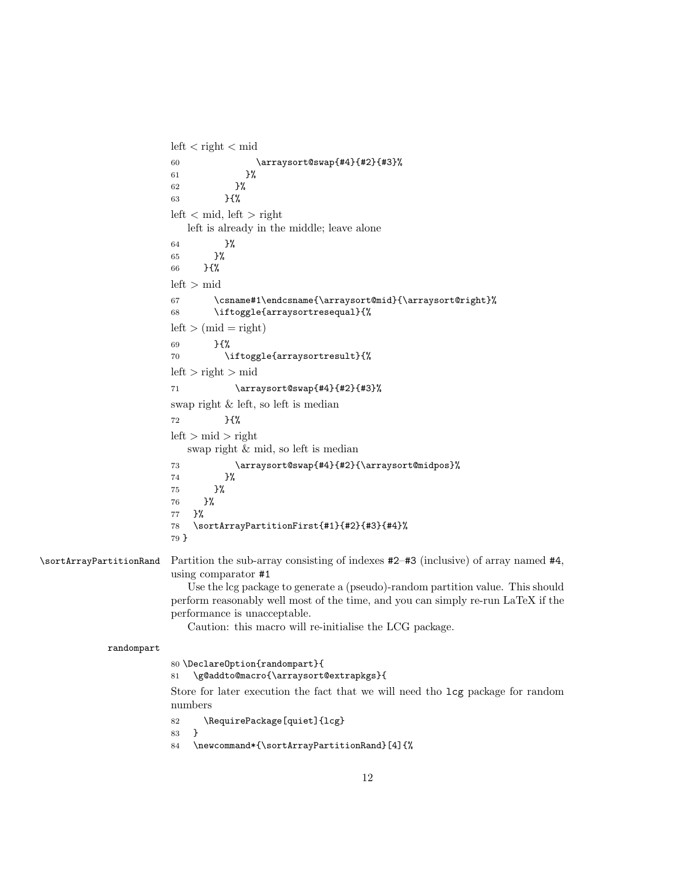$left < right <$  mid 60 \arraysort@swap{#4}{#2}{#3}% 61 }% 62  $}$   $}$ 63 }{%  $\rm left$   $<$  mid,  $\rm left$   $>$  right left is already in the middle; leave alone 64 }% 65 }% 66 }{%  $left > mid$ 67 \csname#1\endcsname{\arraysort@mid}{\arraysort@right}% 68 \iftoggle{arraysortresequal}{%  $left > (mid = right)$ 69 }{% 70 \iftoggle{arraysortresult}{%  $left > right > mid$ 71 \arraysort@swap{#4}{#2}{#3}% swap right & left, so left is median 72 }{%  $left > mid > right$ swap right & mid, so left is median 73 \arraysort@swap{#4}{#2}{\arraysort@midpos}% 74 }% 75 }% 76 }% 77 }% 78 \sortArrayPartitionFirst{#1}{#2}{#3}{#4}% 79 } \sortArrayPartitionRand Partition the sub-array consisting of indexes #2–#3 (inclusive) of array named #4, using comparator #1 Use the lcg package to generate a (pseudo)-random partition value. This should perform reasonably well most of the time, and you can simply re-run LaTeX if the performance is unacceptable. Caution: this macro will re-initialise the LCG package. randompart 80 \DeclareOption{randompart}{ 81 \g@addto@macro{\arraysort@extrapkgs}{ Store for later execution the fact that we will need tho lcg package for random numbers 82 \RequirePackage[quiet]{lcg} 83 }

84 \newcommand\*{\sortArrayPartitionRand}[4]{%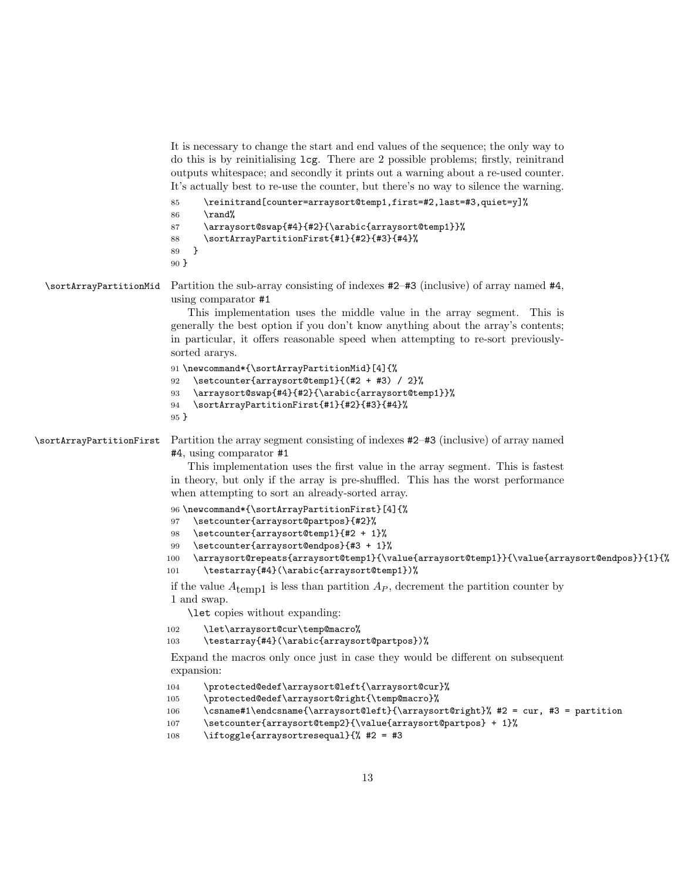```
It is necessary to change the start and end values of the sequence; the only way to
do this is by reinitialising lcg. There are 2 possible problems; firstly, reinitrand
outputs whitespace; and secondly it prints out a warning about a re-used counter.
It's actually best to re-use the counter, but there's no way to silence the warning.
```

```
85 \reinitrand[counter=arraysort@temp1,first=#2,last=#3,quiet=y]%
86 \rand%
87 \arraysort@swap{#4}{#2}{\arabic{arraysort@temp1}}%
88 \sortArrayPartitionFirst{#1}{#2}{#3}{#4}%
89 }
90 }
```

```
\sortArrayPartitionMid Partition the sub-array consisting of indexes #2–#3 (inclusive) of array named #4,
                         using comparator #1
```
This implementation uses the middle value in the array segment. This is generally the best option if you don't know anything about the array's contents; in particular, it offers reasonable speed when attempting to re-sort previouslysorted ararys.

```
91 \newcommand*{\sortArrayPartitionMid}[4]{%
92 \setcounter{arraysort@temp1}{(#2 + #3) / 2}%
93 \arraysort@swap{#4}{#2}{\arabic{arraysort@temp1}}%
94 \sortArrayPartitionFirst{#1}{#2}{#3}{#4}%
95 }
```
\sortArrayPartitionFirst Partition the array segment consisting of indexes #2–#3 (inclusive) of array named #4, using comparator #1

> This implementation uses the first value in the array segment. This is fastest in theory, but only if the array is pre-shuffled. This has the worst performance when attempting to sort an already-sorted array.

96 \newcommand\*{\sortArrayPartitionFirst}[4]{%

- 97 \setcounter{arraysort@partpos}{#2}%
- 98 \setcounter{arraysort@temp1}{#2 + 1}%
- 99 \setcounter{arraysort@endpos}{#3 + 1}%

```
100 \arraysort@repeats{arraysort@temp1}{\value{arraysort@temp1}}{\value{arraysort@endpos}}{1}{%
101 \testarray{#4}(\arabic{arraysort@temp1})%
```
if the value  $A_{\text{temp1}}$  is less than partition  $A_P$ , decrement the partition counter by 1 and swap.

\let copies without expanding:

```
102 \let\arraysort@cur\temp@macro%
```
103 \testarray{#4}(\arabic{arraysort@partpos})%

Expand the macros only once just in case they would be different on subsequent expansion:

```
104 \protected@edef\arraysort@left{\arraysort@cur}%
```

```
105 \protected@edef\arraysort@right{\temp@macro}%
```

```
106 \csname#1\endcsname{\arraysort@left}{\arraysort@right}% #2 = cur, #3 = partition
```

```
107 \setcounter{arraysort@temp2}{\value{arraysort@partpos} + 1}%
```

```
108 \iftoggle{arraysortresequal}{% #2 = #3
```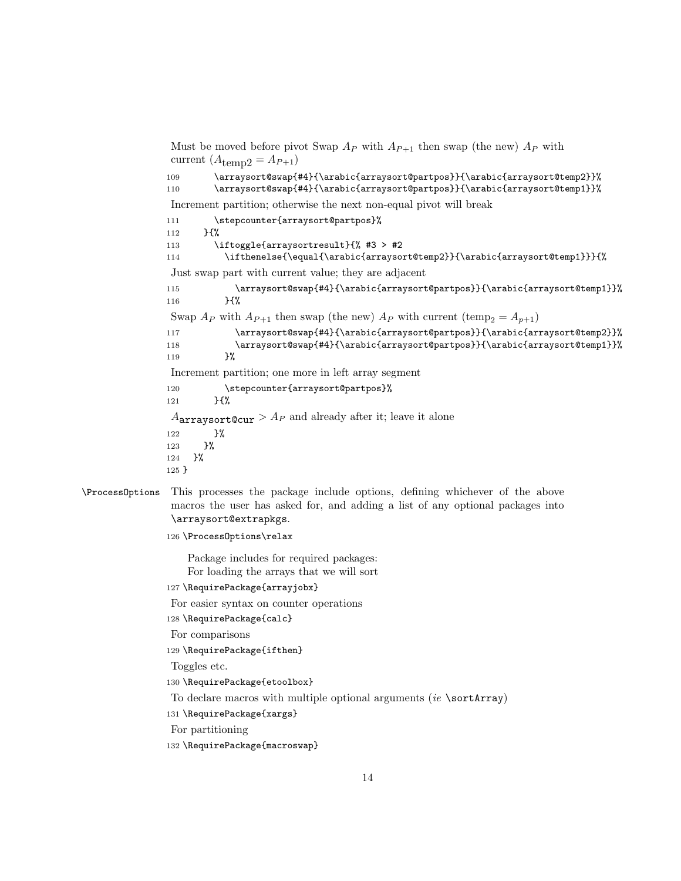Must be moved before pivot Swap  $A_P$  with  $A_{P+1}$  then swap (the new)  $A_P$  with current  $(A<sub>temp2</sub> = A<sub>P+1</sub>)$ 109 \arraysort@swap{#4}{\arabic{arraysort@partpos}}{\arabic{arraysort@temp2}}% 110 \arraysort@swap{#4}{\arabic{arraysort@partpos}}{\arabic{arraysort@temp1}}% Increment partition; otherwise the next non-equal pivot will break 111 \stepcounter{arraysort@partpos}% 112 }{% 113 \iftoggle{arraysortresult}{% #3 > #2 114 \ifthenelse{\equal{\arabic{arraysort@temp2}}{\arabic{arraysort@temp1}}}{% Just swap part with current value; they are adjacent 115 \arraysort@swap{#4}{\arabic{arraysort@partpos}}{\arabic{arraysort@temp1}}% 116 }{% Swap  $A_P$  with  $A_{P+1}$  then swap (the new)  $A_P$  with current (temp<sub>2</sub> =  $A_{p+1}$ ) 117 \arraysort@swap{#4}{\arabic{arraysort@partpos}}{\arabic{arraysort@temp2}}% 118 \arraysort@swap{#4}{\arabic{arraysort@partpos}}{\arabic{arraysort@temp1}}% 119 }% Increment partition; one more in left array segment 120 \stepcounter{arraysort@partpos}%  $121$  } {%  $A<sub>arraysort@cur</sub> > A<sub>P</sub>$  and already after it; leave it alone 122 }% 123 }% 124 }% 125 }

- \ProcessOptions This processes the package include options, defining whichever of the above macros the user has asked for, and adding a list of any optional packages into \arraysort@extrapkgs.
	- 126 \ProcessOptions\relax

Package includes for required packages: For loading the arrays that we will sort

- 127 \RequirePackage{arrayjobx}
- For easier syntax on counter operations
- 128 \RequirePackage{calc}
- For comparisons
- 129 \RequirePackage{ifthen}
- Toggles etc.
- 130 \RequirePackage{etoolbox}
- To declare macros with multiple optional arguments (ie \sortArray)
- 131 \RequirePackage{xargs}
- For partitioning
- 132 \RequirePackage{macroswap}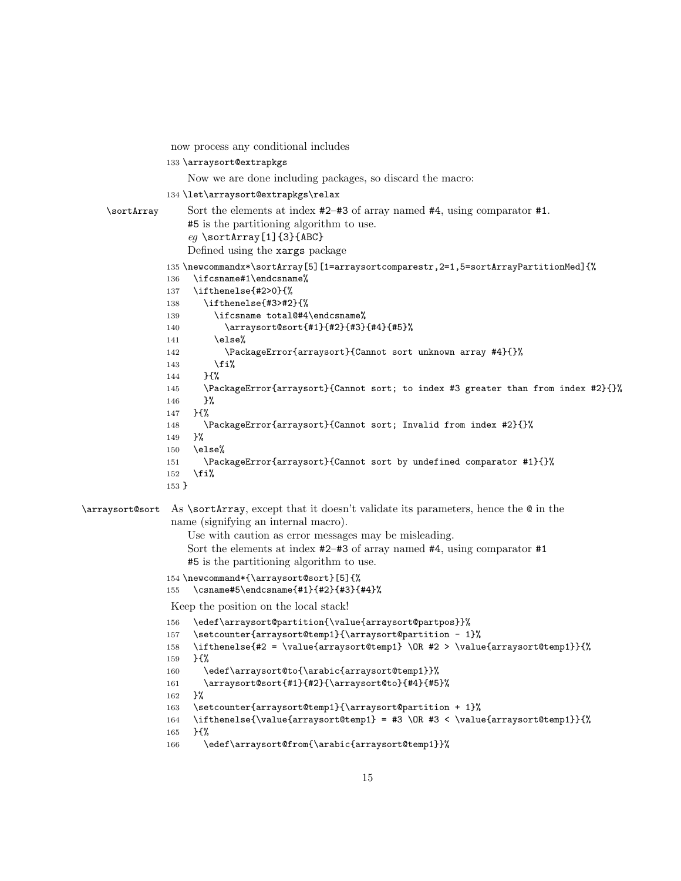```
now process any conditional includes
               133 \arraysort@extrapkgs
                    Now we are done including packages, so discard the macro:
               134 \let\arraysort@extrapkgs\relax
    \sortArray Sort the elements at index #2–#3 of array named #4, using comparator #1.
                    #5 is the partitioning algorithm to use.
                    eg \text{SortArray}[1]{3}{ABC}Defined using the xargs package
               135 \newcommandx*\sortArray[5][1=arraysortcomparestr,2=1,5=sortArrayPartitionMed]{%
               136 \ifcsname#1\endcsname%
               137 \ifthenelse{#2>0}{%
               138 \ifthenelse{#3>#2}{%
               139 \ifcsname total@#4\endcsname%
               140 \arraysort@sort{#1}{#2}{#3}{#4}{#5}%
               141 \else%
               142 \PackageError{arraysort}{Cannot sort unknown array #4}{}%
                143 \fi%
               144 }{%
               145 \PackageError{arraysort}{Cannot sort; to index #3 greater than from index #2}{}%
               146 }%
               147 }{%
               148 \PackageError{arraysort}{Cannot sort; Invalid from index #2}{}%
               149 }%
               150 \else%
               151 \PackageError{arraysort}{Cannot sort by undefined comparator #1}{}%
               152 \quad \text{ifi}153 }
\arraysort@sort As \sortArray, except that it doesn't validate its parameters, hence the @ in the
                name (signifying an internal macro).
                    Use with caution as error messages may be misleading.
                    Sort the elements at index #2–#3 of array named #4, using comparator #1
                    #5 is the partitioning algorithm to use.
                154 \newcommand*{\arraysort@sort}[5]{%
                155 \csname#5\endcsname{#1}{#2}{#3}{#4}%
                Keep the position on the local stack!
                156 \edef\arraysort@partition{\value{arraysort@partpos}}%
                157 \setcounter{arraysort@temp1}{\arraysort@partition - 1}%
               158 \ifthenelse{#2 = \value{arraysort@temp1} \OR #2 > \value{arraysort@temp1}}{%
               159 }{%
               160 \edef\arraysort@to{\arabic{arraysort@temp1}}%
               161 \arraysort@sort{#1}{#2}{\arraysort@to}{#4}{#5}%
               162 }%
               163 \setcounter{arraysort@temp1}{\arraysort@partition + 1}%
               164 \ifthenelse{\value{arraysort@temp1} = #3 \OR #3 < \value{arraysort@temp1}}{%
               165 }{%
               166 \edef\arraysort@from{\arabic{arraysort@temp1}}%
```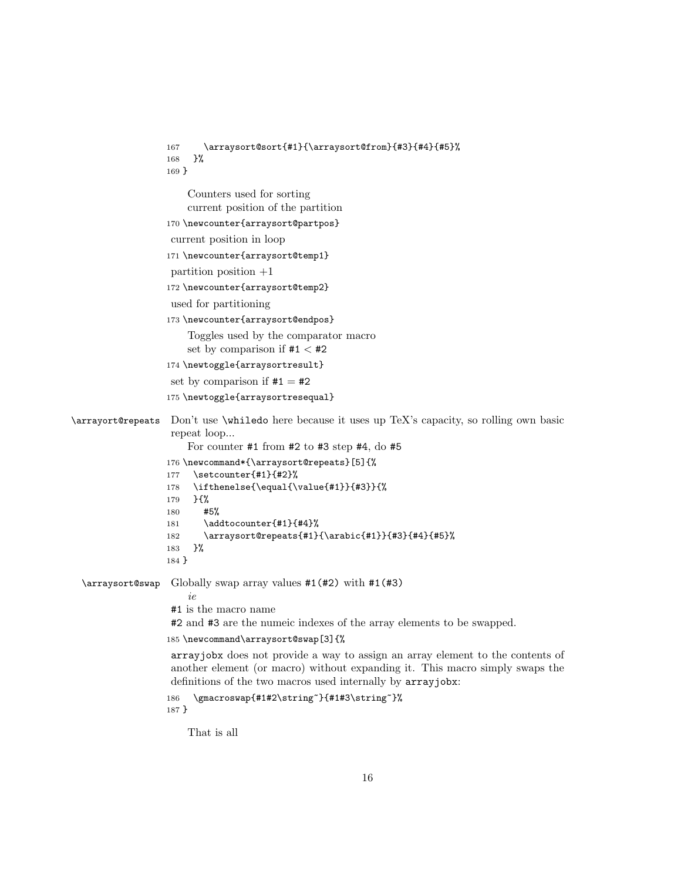```
167 \arraysort@sort{#1}{\arraysort@from}{#3}{#4}{#5}%
                  168 }%
                  169 }
                       Counters used for sorting
                       current position of the partition
                  170 \newcounter{arraysort@partpos}
                   current position in loop
                  171 \newcounter{arraysort@temp1}
                   partition position +1
                  172 \newcounter{arraysort@temp2}
                   used for partitioning
                  173 \newcounter{arraysort@endpos}
                       Toggles used by the comparator macro
                       set by comparison if #1 < #2174 \newtoggle{arraysortresult}
                   set by comparison if #1 = #2175 \newtoggle{arraysortresequal}
\arrayort@repeats Don't use \whiledo here because it uses up TeX's capacity, so rolling own basic
                   repeat loop...
                       For counter #1 from #2 to #3 step #4, do #5
                  176 \newcommand*{\arraysort@repeats}[5]{%
                  177 \setcounter{#1}{#2}%
                  178 \ifthenelse{\equal{\value{#1}}{#3}}{%
                  179 }{%
                  180 #5%
                  181 \addtocounter{#1}{#4}%
                  182 \arraysort@repeats{#1}{\arabic{#1}}{#3}{#4}{#5}%
                  183 }%
                  184 }
  \arraysort@swap Globally swap array values #1(#2) with #1(#3)
                       ie
                   #1 is the macro name
                   #2 and #3 are the numeic indexes of the array elements to be swapped.
                  185 \newcommand\arraysort@swap[3]{%
                   arrayjobx does not provide a way to assign an array element to the contents of
                   another element (or macro) without expanding it. This macro simply swaps the
                   definitions of the two macros used internally by arrayjobx:
                  186 \gmacroswap{#1#2\string~}{#1#3\string~}%
                  187 }
                       That is all
```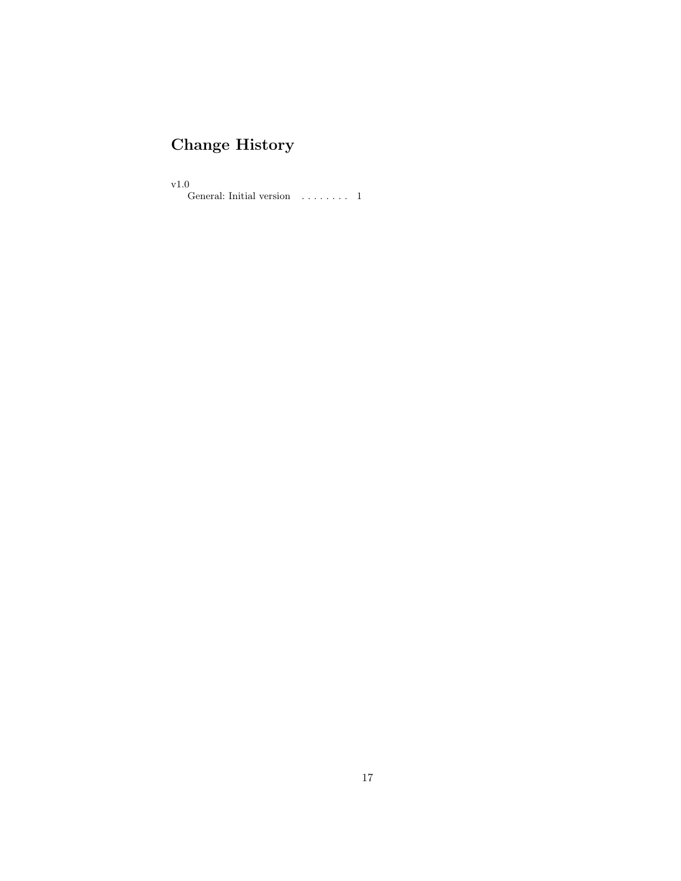# Change History

v1.0

General: Initial version  $\dots \dots 1$